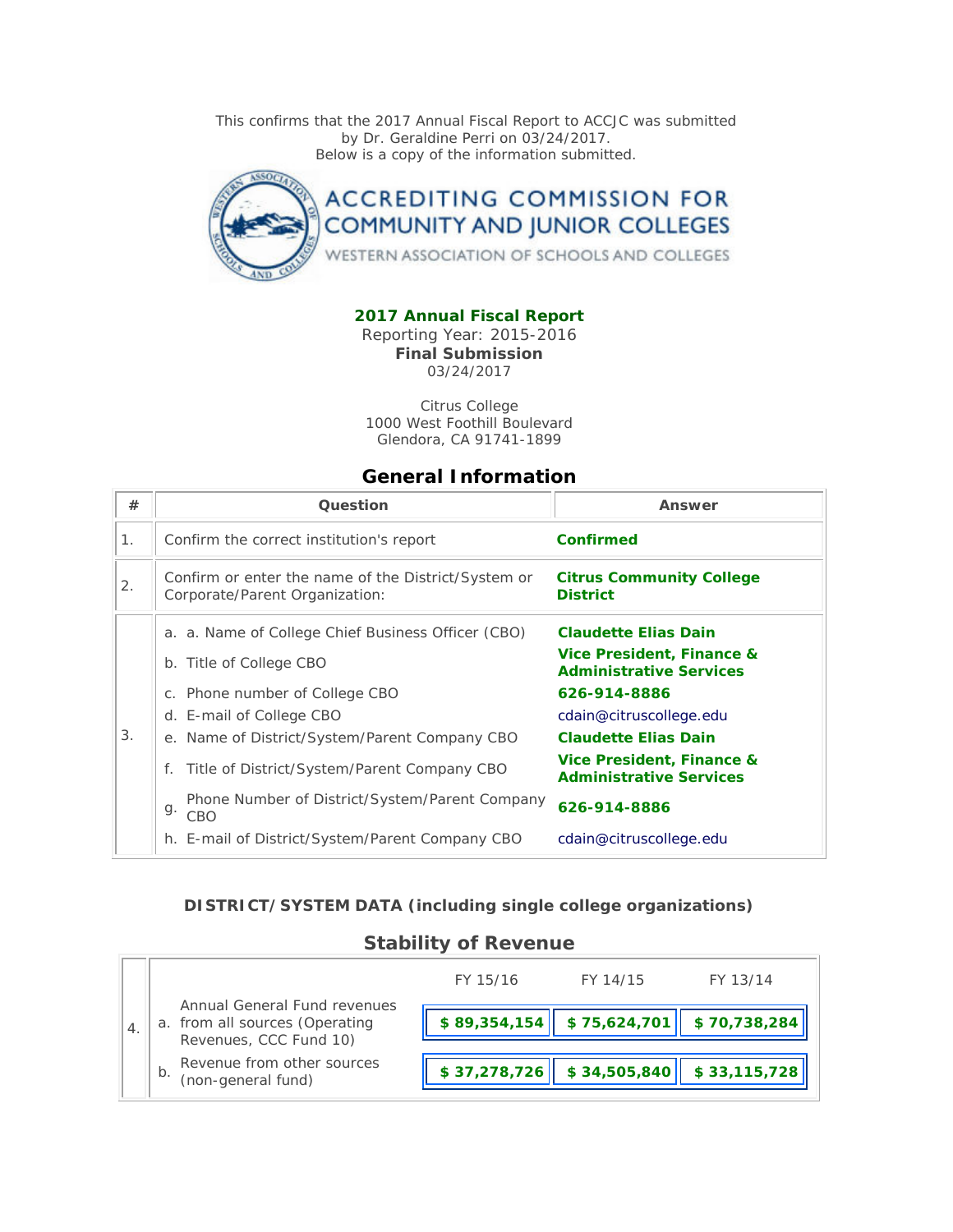This confirms that the 2017 Annual Fiscal Report to ACCJC was submitted by Dr. Geraldine Perri on 03/24/2017. Below is a copy of the information submitted.



### **2017 Annual Fiscal Report**

Reporting Year: 2015-2016 **Final Submission** 03/24/2017

Citrus College 1000 West Foothill Boulevard Glendora, CA 91741-1899

### **General Information**

| #  | Question                                                                              | Answer                                                      |
|----|---------------------------------------------------------------------------------------|-------------------------------------------------------------|
| 1. | Confirm the correct institution's report                                              | <b>Confirmed</b>                                            |
| 2. | Confirm or enter the name of the District/System or<br>Corporate/Parent Organization: | <b>Citrus Community College</b><br><b>District</b>          |
|    | a. a. Name of College Chief Business Officer (CBO)                                    | <b>Claudette Elias Dain</b>                                 |
|    | b. Title of College CBO                                                               | Vice President, Finance &<br><b>Administrative Services</b> |
|    | c. Phone number of College CBO                                                        | 626-914-8886                                                |
|    | d. E-mail of College CBO                                                              | cdain@citruscollege.edu                                     |
| 3. | e. Name of District/System/Parent Company CBO                                         | <b>Claudette Elias Dain</b>                                 |
|    | Title of District/System/Parent Company CBO<br>f.                                     | Vice President, Finance &<br><b>Administrative Services</b> |
|    | Phone Number of District/System/Parent Company<br>g.<br>CBO                           | 626-914-8886                                                |
|    | h. E-mail of District/System/Parent Company CBO                                       | cdain@citruscollege.edu                                     |

#### **DISTRICT/SYSTEM DATA (including single college organizations)**

### **Stability of Revenue**

|               |                                                                                          | FY 15/16     | FY 14/15                                                       | FY 13/14     |
|---------------|------------------------------------------------------------------------------------------|--------------|----------------------------------------------------------------|--------------|
| $^{\circ}$ 4. | Annual General Fund revenues<br>a. from all sources (Operating<br>Revenues, CCC Fund 10) |              | $\vert$ \$89,354,154 $\vert$ \$75,624,701 $\vert$ \$70,738,284 |              |
|               | Revenue from other sources<br>b.<br>(non-general fund)                                   | \$37,278,726 | \$34,505,840                                                   | \$33,115,728 |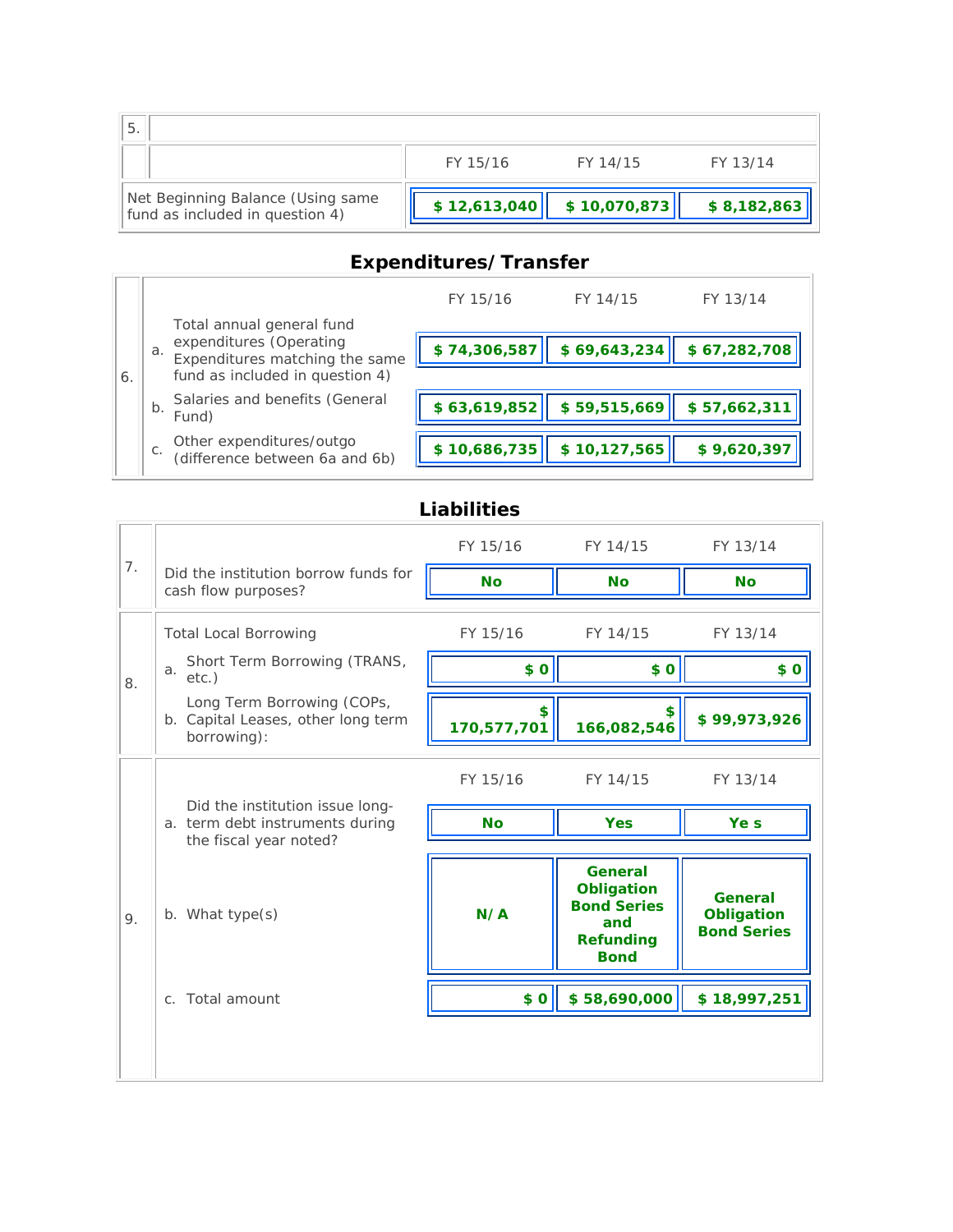| ' 5.                                                                 |              |              |             |
|----------------------------------------------------------------------|--------------|--------------|-------------|
|                                                                      | FY 15/16     | FY 14/15     | FY 13/14    |
| Net Beginning Balance (Using same<br>fund as included in question 4) | \$12,613,040 | \$10,070,873 | \$8,182,863 |

# **Expenditures/Transfer**

|    |                                                                                                                                 |                                                            | FY 15/16     | FY 14/15     | FY 13/14     |
|----|---------------------------------------------------------------------------------------------------------------------------------|------------------------------------------------------------|--------------|--------------|--------------|
|    | Total annual general fund<br>expenditures (Operating<br>a.<br>Expenditures matching the same<br>fund as included in question 4) | \$74,306,587                                               | \$69,643,234 | \$67,282,708 |              |
| 6. | $b$ .                                                                                                                           | Salaries and benefits (General<br>Fund)                    | \$63,619,852 | \$59,515,669 | \$57,662,311 |
|    | С.                                                                                                                              | Other expenditures/outgo<br>(difference between 6a and 6b) | \$10,686,735 | \$10,127,565 | \$9,620,397  |

# **Liabilities**

|    |                                                                                              | FY 15/16          | FY 14/15                                                                                     | FY 13/14                                           |
|----|----------------------------------------------------------------------------------------------|-------------------|----------------------------------------------------------------------------------------------|----------------------------------------------------|
| 7. | Did the institution borrow funds for<br>cash flow purposes?                                  | <b>No</b>         | <b>No</b>                                                                                    | <b>No</b>                                          |
|    | <b>Total Local Borrowing</b>                                                                 | FY 15/16          | FY 14/15                                                                                     | FY 13/14                                           |
| 8. | Short Term Borrowing (TRANS,<br>a.<br>$etc.$ )                                               | \$0               | \$0                                                                                          | \$0                                                |
|    | Long Term Borrowing (COPs,<br>b. Capital Leases, other long term<br>borrowing):              | \$<br>170,577,701 | 166,082,546                                                                                  | \$99,973,926                                       |
|    |                                                                                              | FY 15/16          | FY 14/15                                                                                     | FY 13/14                                           |
|    | Did the institution issue long-<br>a. term debt instruments during<br>the fiscal year noted? | <b>No</b>         | <b>Yes</b>                                                                                   | Ye s                                               |
| 9. | b. What type(s)                                                                              | N/A               | <b>General</b><br>Obligation<br><b>Bond Series</b><br>and<br><b>Refunding</b><br><b>Bond</b> | General<br><b>Obligation</b><br><b>Bond Series</b> |
|    | c. Total amount                                                                              | \$0               | \$58,690,000                                                                                 | \$18,997,251                                       |
|    |                                                                                              |                   |                                                                                              |                                                    |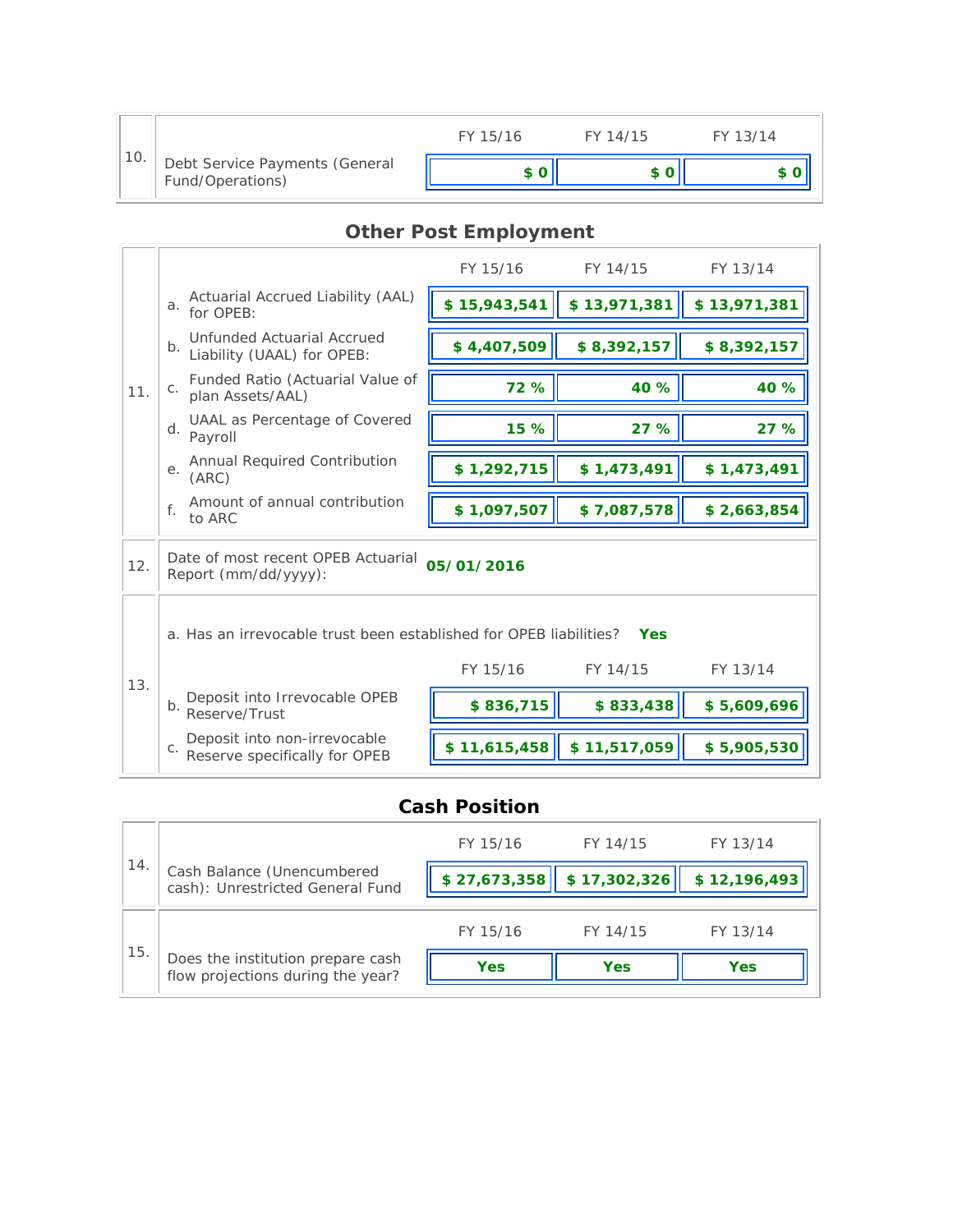|     |                                                    | FY 15/16 | FY 14/15 | FY 13/14 |
|-----|----------------------------------------------------|----------|----------|----------|
| 10. | Debt Service Payments (General<br>Fund/Operations) |          |          |          |

# **Other Post Employment**

|     |                                                                                  | FY 15/16     | FY 14/15     | FY 13/14     |  |
|-----|----------------------------------------------------------------------------------|--------------|--------------|--------------|--|
|     | Actuarial Accrued Liability (AAL)<br>a.<br>for OPEB:                             | \$15,943,541 | \$13,971,381 | \$13,971,381 |  |
|     | Unfunded Actuarial Accrued<br>b <sub>1</sub><br>Liability (UAAL) for OPEB:       | \$4,407,509  | \$8,392,157  | \$8,392,157  |  |
| 11. | Funded Ratio (Actuarial Value of<br>C <sub>1</sub><br>plan Assets/AAL)           | 72 %         | 40 %         | 40 %         |  |
|     | UAAL as Percentage of Covered<br>$d.$ Payroll                                    | 15 %         | 27 %         | 27 %         |  |
|     | Annual Required Contribution<br>е.<br>(ARC)                                      | \$1,292,715  | \$1,473,491  | \$1,473,491  |  |
|     | Amount of annual contribution<br>f.<br>to ARC                                    | \$1,097,507  | \$7,087,578  | \$2,663,854  |  |
| 12. | Date of most recent OPEB Actuarial<br>05/01/2016<br>Report (mm/dd/yyyy):         |              |              |              |  |
|     | a. Has an irrevocable trust been established for OPEB liabilities?<br><b>Yes</b> |              |              |              |  |
| 13. |                                                                                  | FY 15/16     | FY 14/15     | FY 13/14     |  |
|     | Deposit into Irrevocable OPEB<br>b. Peserve/Trust                                | \$836,715    | \$833,438    | \$5,609,696  |  |
|     | Deposit into non-irrevocable<br>C <sub>1</sub><br>Reserve specifically for OPEB  | \$11,615,458 | \$11,517,059 | \$5,905,530  |  |

## **Cash Position**

| 14 |                                                                        | FY 15/16     | FY 14/15     | FY 13/14     |
|----|------------------------------------------------------------------------|--------------|--------------|--------------|
|    | Cash Balance (Unencumbered<br>cash): Unrestricted General Fund         | \$27,673,358 | \$17,302,326 | \$12,196,493 |
|    |                                                                        | FY 15/16     | FY 14/15     | FY 13/14     |
| 15 | Does the institution prepare cash<br>flow projections during the year? | Yes          | <b>Yes</b>   | Yes          |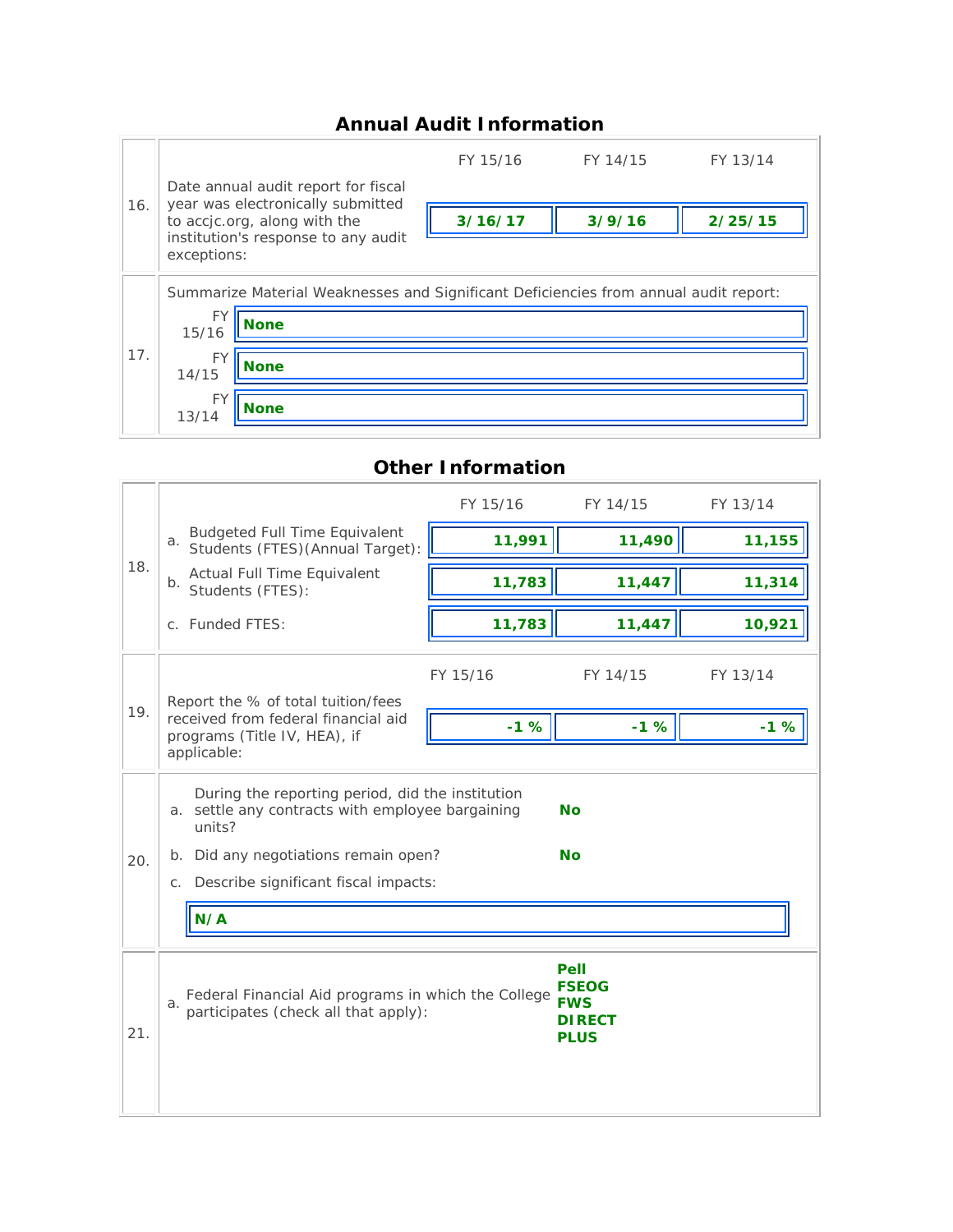## **Annual Audit Information**

|     |                                                                                                          |                                     | FY 15/16 | FY 14/15 | FY 13/14 |  |
|-----|----------------------------------------------------------------------------------------------------------|-------------------------------------|----------|----------|----------|--|
| 16. | Date annual audit report for fiscal<br>year was electronically submitted<br>to accjc.org, along with the |                                     |          |          |          |  |
|     |                                                                                                          |                                     | 3/16/17  | 3/9/16   | 2/25/15  |  |
|     | exceptions:                                                                                              | institution's response to any audit |          |          |          |  |
|     | Summarize Material Weaknesses and Significant Deficiencies from annual audit report:                     |                                     |          |          |          |  |
|     | FY<br>15/16                                                                                              | <b>None</b>                         |          |          |          |  |
| 17. | <b>FY</b><br>14/15                                                                                       | <b>None</b>                         |          |          |          |  |
|     | FY                                                                                                       | None                                |          |          |          |  |
|     | 13/14                                                                                                    |                                     |          |          |          |  |

## 18. FY 15/16 FY 14/15 FY 13/14 a. Budgeted Full Time Equivalent Students (FTES)(Annual Target): **11,991 11,490 11,155** b. Actual Full Time Equivalent Students (FTES): **11,783 11,447 11,314** c. Funded FTES: **11,783 11,447 10,921** 19. FY 15/16 FY 14/15 FY 13/14 Report the % of total tuition/fees received from federal financial aid programs (Title IV, HEA), if applicable: **-1 % -1 % -1 %** 20. a. settle any contracts with employee bargaining During the reporting period, did the institution units? **No** b. Did any negotiations remain open? **No** c. Describe significant fiscal impacts: **N/A** 21. a. Federal Financial Aid programs in which the College<br>a. participates (check all that apply): **Pell FSEOG FWS DIRECT PLUS**

#### **Other Information**